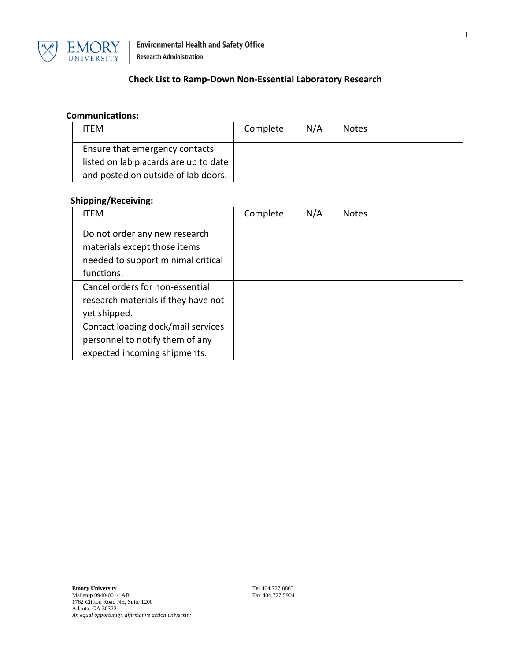

## **Check List to Ramp-Down Non-Essential Laboratory Research**

#### **Communications:**

| ITEM                                  | Complete | N/A | <b>Notes</b> |
|---------------------------------------|----------|-----|--------------|
| Ensure that emergency contacts        |          |     |              |
| listed on lab placards are up to date |          |     |              |
| and posted on outside of lab doors.   |          |     |              |

#### **Shipping/Receiving:**

| <b>ITEM</b>                                                                                                       | Complete | N/A | <b>Notes</b> |
|-------------------------------------------------------------------------------------------------------------------|----------|-----|--------------|
| Do not order any new research<br>materials except those items<br>needed to support minimal critical<br>functions. |          |     |              |
| Cancel orders for non-essential<br>research materials if they have not<br>yet shipped.                            |          |     |              |
| Contact loading dock/mail services<br>personnel to notify them of any<br>expected incoming shipments.             |          |     |              |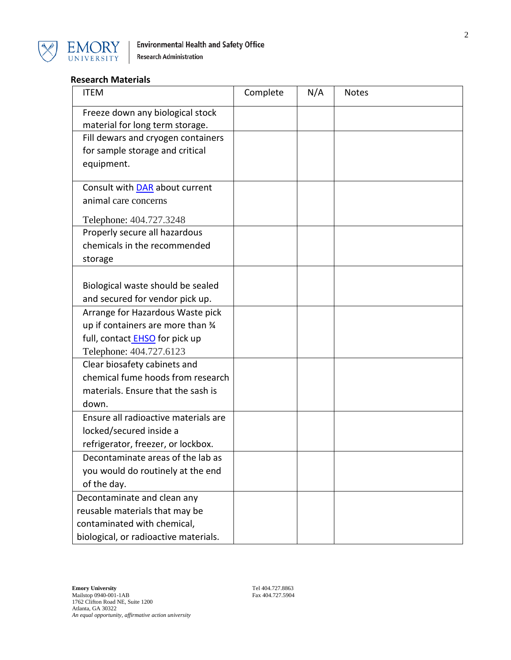

## **Research Materials**

| <b>ITEM</b>                           | Complete | N/A | <b>Notes</b> |
|---------------------------------------|----------|-----|--------------|
| Freeze down any biological stock      |          |     |              |
| material for long term storage.       |          |     |              |
| Fill dewars and cryogen containers    |          |     |              |
| for sample storage and critical       |          |     |              |
| equipment.                            |          |     |              |
| Consult with DAR about current        |          |     |              |
| animal care concerns                  |          |     |              |
| Telephone: 404.727.3248               |          |     |              |
| Properly secure all hazardous         |          |     |              |
| chemicals in the recommended          |          |     |              |
| storage                               |          |     |              |
|                                       |          |     |              |
| Biological waste should be sealed     |          |     |              |
| and secured for vendor pick up.       |          |     |              |
| Arrange for Hazardous Waste pick      |          |     |              |
| up if containers are more than 34     |          |     |              |
| full, contact <b>EHSO</b> for pick up |          |     |              |
| Telephone: 404.727.6123               |          |     |              |
| Clear biosafety cabinets and          |          |     |              |
| chemical fume hoods from research     |          |     |              |
| materials. Ensure that the sash is    |          |     |              |
| down.                                 |          |     |              |
| Ensure all radioactive materials are  |          |     |              |
| locked/secured inside a               |          |     |              |
| refrigerator, freezer, or lockbox.    |          |     |              |
| Decontaminate areas of the lab as     |          |     |              |
| you would do routinely at the end     |          |     |              |
| of the day.                           |          |     |              |
| Decontaminate and clean any           |          |     |              |
| reusable materials that may be        |          |     |              |
| contaminated with chemical,           |          |     |              |
| biological, or radioactive materials. |          |     |              |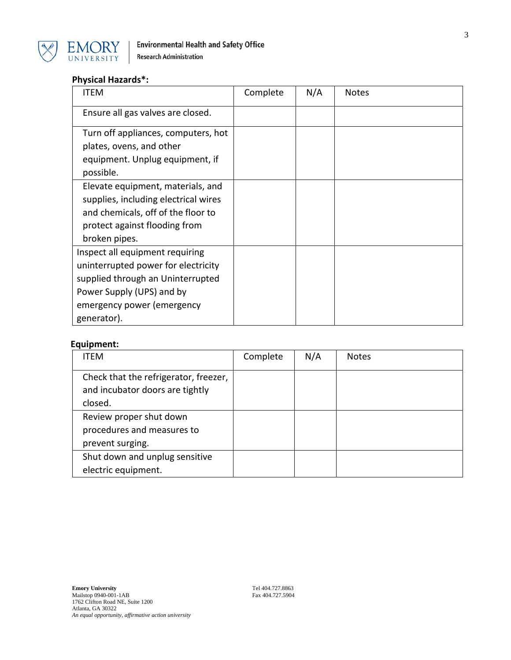

# **Physical Hazards\*:**

| <b>ITEM</b>                          | Complete | N/A | <b>Notes</b> |
|--------------------------------------|----------|-----|--------------|
| Ensure all gas valves are closed.    |          |     |              |
| Turn off appliances, computers, hot  |          |     |              |
| plates, ovens, and other             |          |     |              |
| equipment. Unplug equipment, if      |          |     |              |
| possible.                            |          |     |              |
| Elevate equipment, materials, and    |          |     |              |
| supplies, including electrical wires |          |     |              |
| and chemicals, off of the floor to   |          |     |              |
| protect against flooding from        |          |     |              |
| broken pipes.                        |          |     |              |
| Inspect all equipment requiring      |          |     |              |
| uninterrupted power for electricity  |          |     |              |
| supplied through an Uninterrupted    |          |     |              |
| Power Supply (UPS) and by            |          |     |              |
| emergency power (emergency           |          |     |              |
| generator).                          |          |     |              |

## **Equipment:**

| <b>ITEM</b>                                                                         | Complete | N/A | <b>Notes</b> |
|-------------------------------------------------------------------------------------|----------|-----|--------------|
| Check that the refrigerator, freezer,<br>and incubator doors are tightly<br>closed. |          |     |              |
| Review proper shut down<br>procedures and measures to<br>prevent surging.           |          |     |              |
| Shut down and unplug sensitive<br>electric equipment.                               |          |     |              |